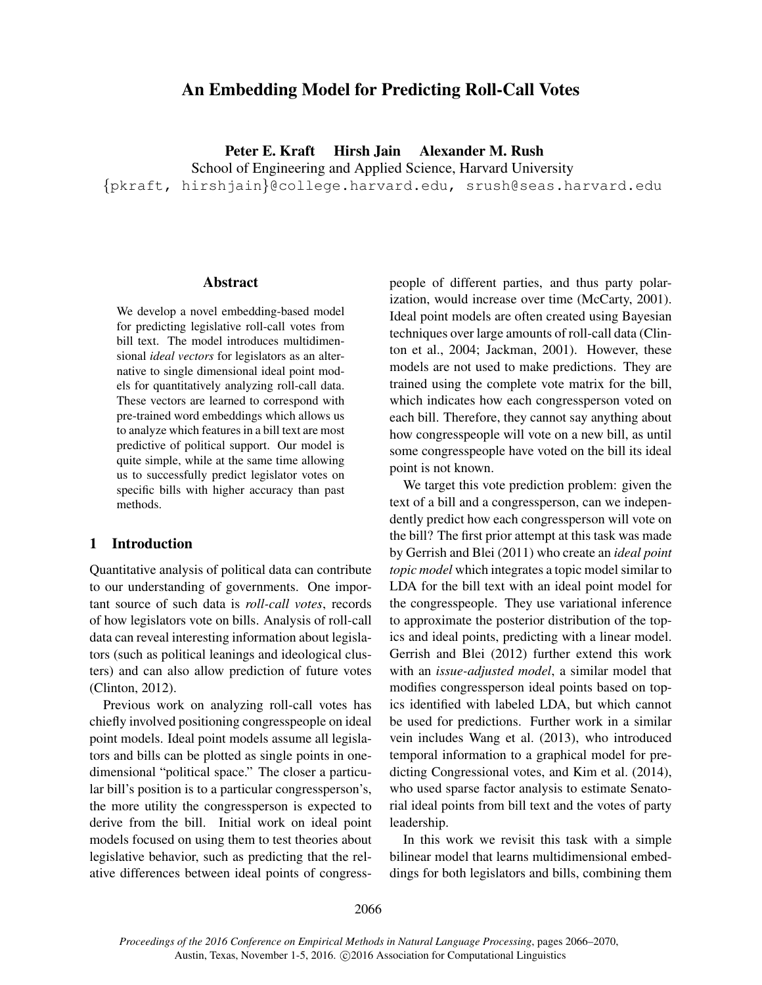# An Embedding Model for Predicting Roll-Call Votes

Peter E. Kraft Hirsh Jain Alexander M. Rush

School of Engineering and Applied Science, Harvard University {pkraft, hirshjain}@college.harvard.edu, srush@seas.harvard.edu

#### Abstract

We develop a novel embedding-based model for predicting legislative roll-call votes from bill text. The model introduces multidimensional *ideal vectors* for legislators as an alternative to single dimensional ideal point models for quantitatively analyzing roll-call data. These vectors are learned to correspond with pre-trained word embeddings which allows us to analyze which features in a bill text are most predictive of political support. Our model is quite simple, while at the same time allowing us to successfully predict legislator votes on specific bills with higher accuracy than past methods.

### 1 Introduction

Quantitative analysis of political data can contribute to our understanding of governments. One important source of such data is *roll-call votes*, records of how legislators vote on bills. Analysis of roll-call data can reveal interesting information about legislators (such as political leanings and ideological clusters) and can also allow prediction of future votes (Clinton, 2012).

Previous work on analyzing roll-call votes has chiefly involved positioning congresspeople on ideal point models. Ideal point models assume all legislators and bills can be plotted as single points in onedimensional "political space." The closer a particular bill's position is to a particular congressperson's, the more utility the congressperson is expected to derive from the bill. Initial work on ideal point models focused on using them to test theories about legislative behavior, such as predicting that the relative differences between ideal points of congresspeople of different parties, and thus party polarization, would increase over time (McCarty, 2001). Ideal point models are often created using Bayesian techniques over large amounts of roll-call data (Clinton et al., 2004; Jackman, 2001). However, these models are not used to make predictions. They are trained using the complete vote matrix for the bill, which indicates how each congressperson voted on each bill. Therefore, they cannot say anything about how congresspeople will vote on a new bill, as until some congresspeople have voted on the bill its ideal point is not known.

We target this vote prediction problem: given the text of a bill and a congressperson, can we independently predict how each congressperson will vote on the bill? The first prior attempt at this task was made by Gerrish and Blei (2011) who create an *ideal point topic model* which integrates a topic model similar to LDA for the bill text with an ideal point model for the congresspeople. They use variational inference to approximate the posterior distribution of the topics and ideal points, predicting with a linear model. Gerrish and Blei (2012) further extend this work with an *issue-adjusted model*, a similar model that modifies congressperson ideal points based on topics identified with labeled LDA, but which cannot be used for predictions. Further work in a similar vein includes Wang et al. (2013), who introduced temporal information to a graphical model for predicting Congressional votes, and Kim et al. (2014), who used sparse factor analysis to estimate Senatorial ideal points from bill text and the votes of party leadership.

In this work we revisit this task with a simple bilinear model that learns multidimensional embeddings for both legislators and bills, combining them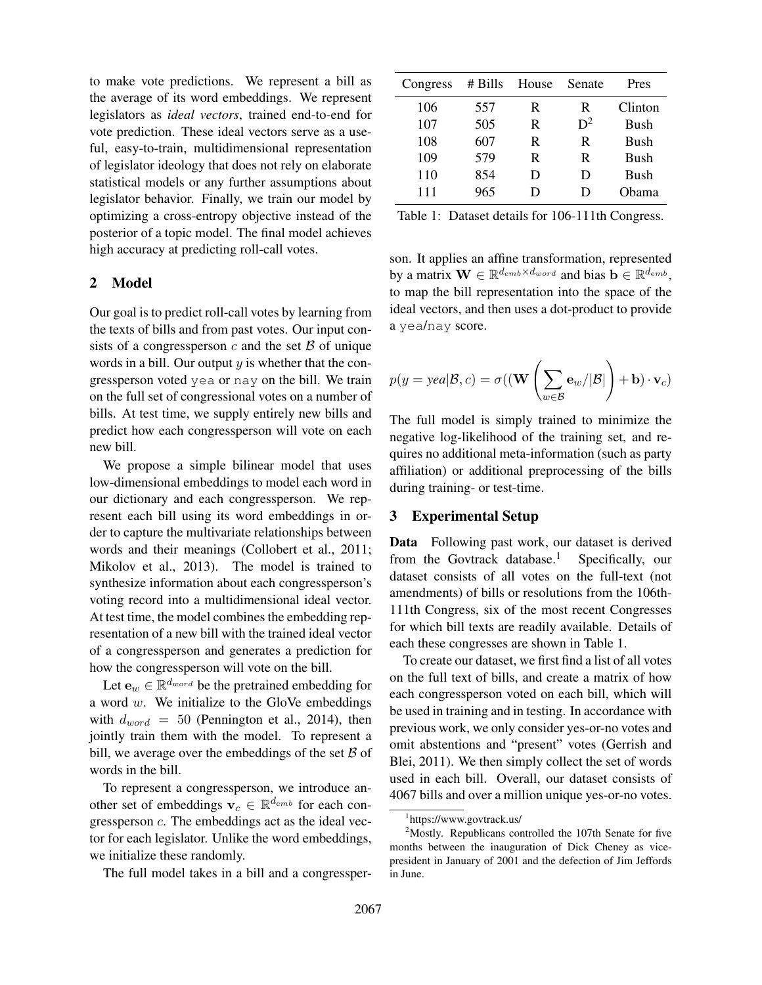to make vote predictions. We represent a bill as the average of its word embeddings. We represent legislators as *ideal vectors*, trained end-to-end for vote prediction. These ideal vectors serve as a useful, easy-to-train, multidimensional representation of legislator ideology that does not rely on elaborate statistical models or any further assumptions about legislator behavior. Finally, we train our model by optimizing a cross-entropy objective instead of the posterior of a topic model. The final model achieves high accuracy at predicting roll-call votes.

## 2 Model

Our goal is to predict roll-call votes by learning from the texts of bills and from past votes. Our input consists of a congressperson  $c$  and the set  $\beta$  of unique words in a bill. Our output  $y$  is whether that the congressperson voted yea or nay on the bill. We train on the full set of congressional votes on a number of bills. At test time, we supply entirely new bills and predict how each congressperson will vote on each new bill.

We propose a simple bilinear model that uses low-dimensional embeddings to model each word in our dictionary and each congressperson. We represent each bill using its word embeddings in order to capture the multivariate relationships between words and their meanings (Collobert et al., 2011; Mikolov et al., 2013). The model is trained to synthesize information about each congressperson's voting record into a multidimensional ideal vector. At test time, the model combines the embedding representation of a new bill with the trained ideal vector of a congressperson and generates a prediction for how the congressperson will vote on the bill.

Let  $e_w \in \mathbb{R}^{d_{word}}$  be the pretrained embedding for a word  $w$ . We initialize to the GloVe embeddings with  $d_{word} = 50$  (Pennington et al., 2014), then jointly train them with the model. To represent a bill, we average over the embeddings of the set  $\beta$  of words in the bill.

To represent a congressperson, we introduce another set of embeddings  $\mathbf{v}_c \in \mathbb{R}^{d_{emb}}$  for each congressperson c. The embeddings act as the ideal vector for each legislator. Unlike the word embeddings, we initialize these randomly.

The full model takes in a bill and a congressper-

| Congress | $#$ Bills | House | Senate | Pres        |
|----------|-----------|-------|--------|-------------|
| 106      | 557       | R     | R      | Clinton     |
| 107      | 505       | R     | $D^2$  | Bush        |
| 108      | 607       | R     | R      | <b>Bush</b> |
| 109      | 579       | R     | R      | <b>Bush</b> |
| 110      | 854       | D     | D      | <b>Bush</b> |
| 111      | 965       | Ð     | D      | Obama       |

Table 1: Dataset details for 106-111th Congress.

son. It applies an affine transformation, represented by a matrix  $\mathbf{W} \in \mathbb{R}^{d_{emb} \times d_{word}}$  and bias  $\mathbf{b} \in \mathbb{R}^{d_{emb}},$ to map the bill representation into the space of the ideal vectors, and then uses a dot-product to provide a yea/nay score.

$$
p(y = \textit{yea} | \mathcal{B}, c) = \sigma((\mathbf{W} \left( \sum_{w \in \mathcal{B}} \mathbf{e}_w / |\mathcal{B}| \right) + \mathbf{b}) \cdot \mathbf{v}_c)
$$

The full model is simply trained to minimize the negative log-likelihood of the training set, and requires no additional meta-information (such as party affiliation) or additional preprocessing of the bills during training- or test-time.

### 3 Experimental Setup

Data Following past work, our dataset is derived from the Govtrack database.<sup>1</sup> Specifically, our dataset consists of all votes on the full-text (not amendments) of bills or resolutions from the 106th-111th Congress, six of the most recent Congresses for which bill texts are readily available. Details of each these congresses are shown in Table 1.

To create our dataset, we first find a list of all votes on the full text of bills, and create a matrix of how each congressperson voted on each bill, which will be used in training and in testing. In accordance with previous work, we only consider yes-or-no votes and omit abstentions and "present" votes (Gerrish and Blei, 2011). We then simply collect the set of words used in each bill. Overall, our dataset consists of 4067 bills and over a million unique yes-or-no votes.

<sup>1</sup> https://www.govtrack.us/

 $2^2$ Mostly. Republicans controlled the 107th Senate for five months between the inauguration of Dick Cheney as vicepresident in January of 2001 and the defection of Jim Jeffords in June.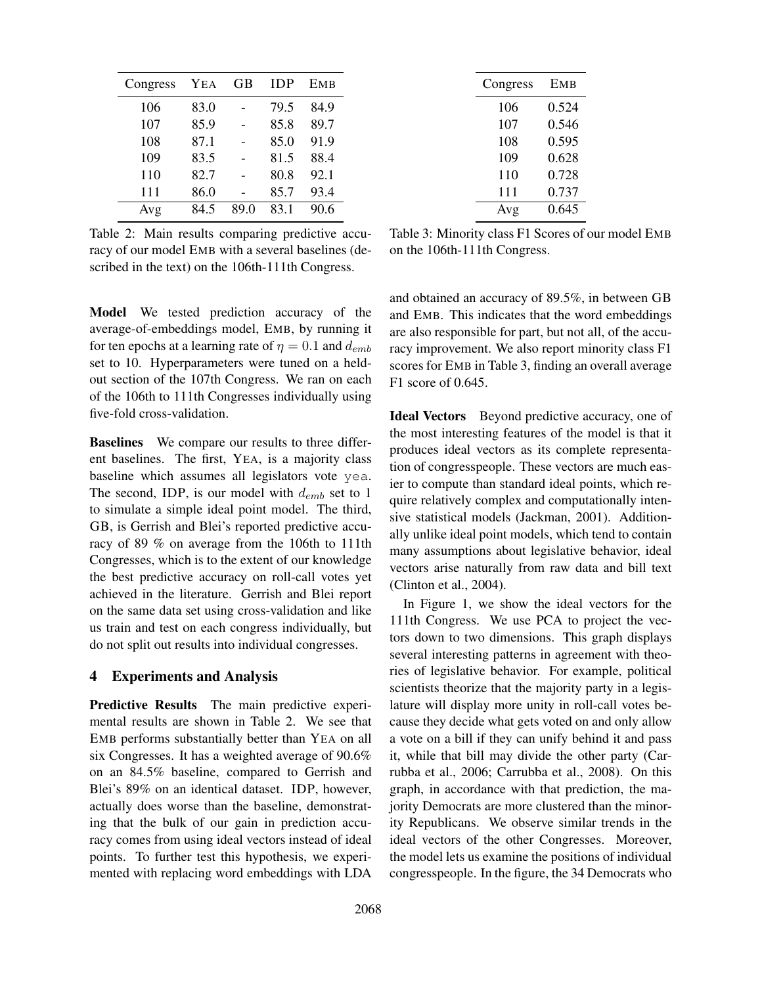| Congress | YEA  | GВ   | <b>IDP</b> | <b>EMB</b> |
|----------|------|------|------------|------------|
| 106      | 83.0 |      | 79.5       | 84.9       |
| 107      | 85.9 |      | 85.8       | 89.7       |
| 108      | 87.1 |      | 85.0       | 91.9       |
| 109      | 83.5 |      | 81.5       | 88.4       |
| 110      | 82.7 |      | 80.8       | 92.1       |
| 111      | 86.0 |      | 85.7       | 93.4       |
| Avg      | 84.5 | 89.0 | 83.1       | 90.6       |

Table 2: Main results comparing predictive accuracy of our model EMB with a several baselines (described in the text) on the 106th-111th Congress.

Model We tested prediction accuracy of the average-of-embeddings model, EMB, by running it for ten epochs at a learning rate of  $\eta = 0.1$  and  $d_{emb}$ set to 10. Hyperparameters were tuned on a heldout section of the 107th Congress. We ran on each of the 106th to 111th Congresses individually using five-fold cross-validation.

Baselines We compare our results to three different baselines. The first, YEA, is a majority class baseline which assumes all legislators vote yea. The second, IDP, is our model with  $d_{emb}$  set to 1 to simulate a simple ideal point model. The third, GB, is Gerrish and Blei's reported predictive accuracy of 89 % on average from the 106th to 111th Congresses, which is to the extent of our knowledge the best predictive accuracy on roll-call votes yet achieved in the literature. Gerrish and Blei report on the same data set using cross-validation and like us train and test on each congress individually, but do not split out results into individual congresses.

#### 4 Experiments and Analysis

Predictive Results The main predictive experimental results are shown in Table 2. We see that EMB performs substantially better than YEA on all six Congresses. It has a weighted average of 90.6% on an 84.5% baseline, compared to Gerrish and Blei's 89% on an identical dataset. IDP, however, actually does worse than the baseline, demonstrating that the bulk of our gain in prediction accuracy comes from using ideal vectors instead of ideal points. To further test this hypothesis, we experimented with replacing word embeddings with LDA

| Congress | <b>EMB</b> |
|----------|------------|
| 106      | 0.524      |
| 107      | 0.546      |
| 108      | 0.595      |
| 109      | 0.628      |
| 110      | 0.728      |
| 111      | 0.737      |
| Avg      | 0.645      |

Table 3: Minority class F1 Scores of our model EMB on the 106th-111th Congress.

and obtained an accuracy of 89.5%, in between GB and EMB. This indicates that the word embeddings are also responsible for part, but not all, of the accuracy improvement. We also report minority class F1 scores for EMB in Table 3, finding an overall average F1 score of 0.645.

Ideal Vectors Beyond predictive accuracy, one of the most interesting features of the model is that it produces ideal vectors as its complete representation of congresspeople. These vectors are much easier to compute than standard ideal points, which require relatively complex and computationally intensive statistical models (Jackman, 2001). Additionally unlike ideal point models, which tend to contain many assumptions about legislative behavior, ideal vectors arise naturally from raw data and bill text (Clinton et al., 2004).

In Figure 1, we show the ideal vectors for the 111th Congress. We use PCA to project the vectors down to two dimensions. This graph displays several interesting patterns in agreement with theories of legislative behavior. For example, political scientists theorize that the majority party in a legislature will display more unity in roll-call votes because they decide what gets voted on and only allow a vote on a bill if they can unify behind it and pass it, while that bill may divide the other party (Carrubba et al., 2006; Carrubba et al., 2008). On this graph, in accordance with that prediction, the majority Democrats are more clustered than the minority Republicans. We observe similar trends in the ideal vectors of the other Congresses. Moreover, the model lets us examine the positions of individual congresspeople. In the figure, the 34 Democrats who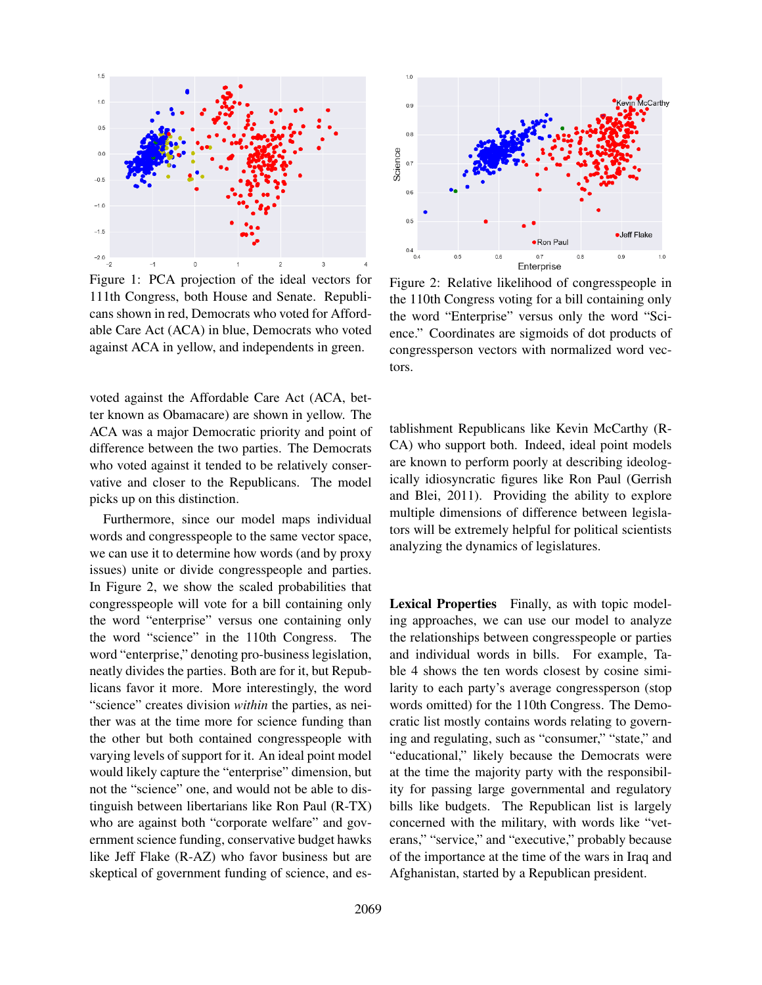

Figure 1: PCA projection of the ideal vectors for 111th Congress, both House and Senate. Republicans shown in red, Democrats who voted for Affordable Care Act (ACA) in blue, Democrats who voted against ACA in yellow, and independents in green.

voted against the Affordable Care Act (ACA, better known as Obamacare) are shown in yellow. The ACA was a major Democratic priority and point of difference between the two parties. The Democrats who voted against it tended to be relatively conservative and closer to the Republicans. The model picks up on this distinction.

Furthermore, since our model maps individual words and congresspeople to the same vector space, we can use it to determine how words (and by proxy issues) unite or divide congresspeople and parties. In Figure 2, we show the scaled probabilities that congresspeople will vote for a bill containing only the word "enterprise" versus one containing only the word "science" in the 110th Congress. The word "enterprise," denoting pro-business legislation, neatly divides the parties. Both are for it, but Republicans favor it more. More interestingly, the word "science" creates division *within* the parties, as neither was at the time more for science funding than the other but both contained congresspeople with varying levels of support for it. An ideal point model would likely capture the "enterprise" dimension, but not the "science" one, and would not be able to distinguish between libertarians like Ron Paul (R-TX) who are against both "corporate welfare" and government science funding, conservative budget hawks like Jeff Flake (R-AZ) who favor business but are skeptical of government funding of science, and es-



Figure 2: Relative likelihood of congresspeople in the 110th Congress voting for a bill containing only the word "Enterprise" versus only the word "Science." Coordinates are sigmoids of dot products of congressperson vectors with normalized word vectors.

tablishment Republicans like Kevin McCarthy (R-CA) who support both. Indeed, ideal point models are known to perform poorly at describing ideologically idiosyncratic figures like Ron Paul (Gerrish and Blei, 2011). Providing the ability to explore multiple dimensions of difference between legislators will be extremely helpful for political scientists analyzing the dynamics of legislatures.

Lexical Properties Finally, as with topic modeling approaches, we can use our model to analyze the relationships between congresspeople or parties and individual words in bills. For example, Table 4 shows the ten words closest by cosine similarity to each party's average congressperson (stop words omitted) for the 110th Congress. The Democratic list mostly contains words relating to governing and regulating, such as "consumer," "state," and "educational," likely because the Democrats were at the time the majority party with the responsibility for passing large governmental and regulatory bills like budgets. The Republican list is largely concerned with the military, with words like "veterans," "service," and "executive," probably because of the importance at the time of the wars in Iraq and Afghanistan, started by a Republican president.